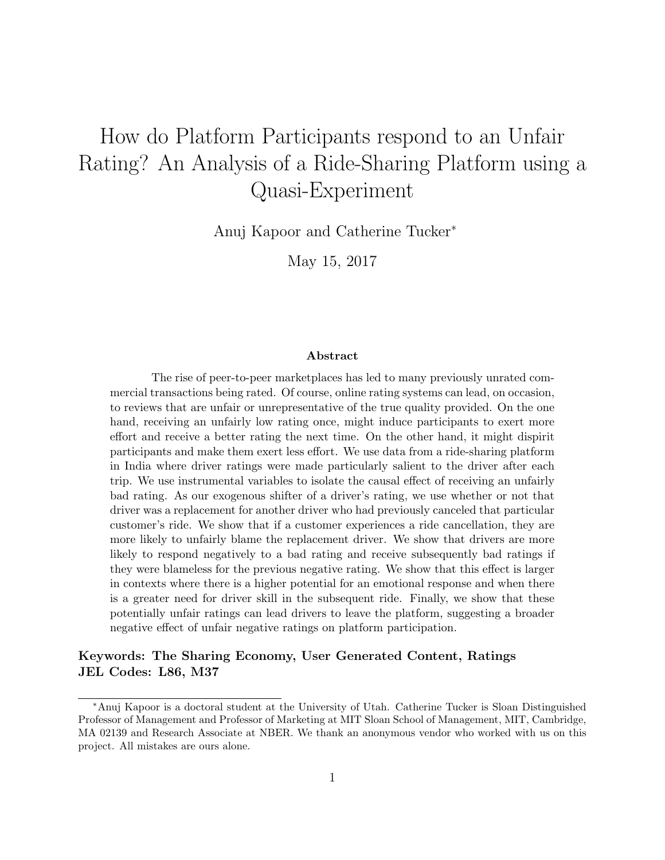# How do Platform Participants respond to an Unfair Rating? An Analysis of a Ride-Sharing Platform using a Quasi-Experiment

Anuj Kapoor and Catherine Tucker<sup>∗</sup>

May 15, 2017

#### Abstract

The rise of peer-to-peer marketplaces has led to many previously unrated commercial transactions being rated. Of course, online rating systems can lead, on occasion, to reviews that are unfair or unrepresentative of the true quality provided. On the one hand, receiving an unfairly low rating once, might induce participants to exert more effort and receive a better rating the next time. On the other hand, it might dispirit participants and make them exert less effort. We use data from a ride-sharing platform in India where driver ratings were made particularly salient to the driver after each trip. We use instrumental variables to isolate the causal effect of receiving an unfairly bad rating. As our exogenous shifter of a driver's rating, we use whether or not that driver was a replacement for another driver who had previously canceled that particular customer's ride. We show that if a customer experiences a ride cancellation, they are more likely to unfairly blame the replacement driver. We show that drivers are more likely to respond negatively to a bad rating and receive subsequently bad ratings if they were blameless for the previous negative rating. We show that this effect is larger in contexts where there is a higher potential for an emotional response and when there is a greater need for driver skill in the subsequent ride. Finally, we show that these potentially unfair ratings can lead drivers to leave the platform, suggesting a broader negative effect of unfair negative ratings on platform participation.

#### Keywords: The Sharing Economy, User Generated Content, Ratings JEL Codes: L86, M37

<sup>∗</sup>Anuj Kapoor is a doctoral student at the University of Utah. Catherine Tucker is Sloan Distinguished Professor of Management and Professor of Marketing at MIT Sloan School of Management, MIT, Cambridge, MA 02139 and Research Associate at NBER. We thank an anonymous vendor who worked with us on this project. All mistakes are ours alone.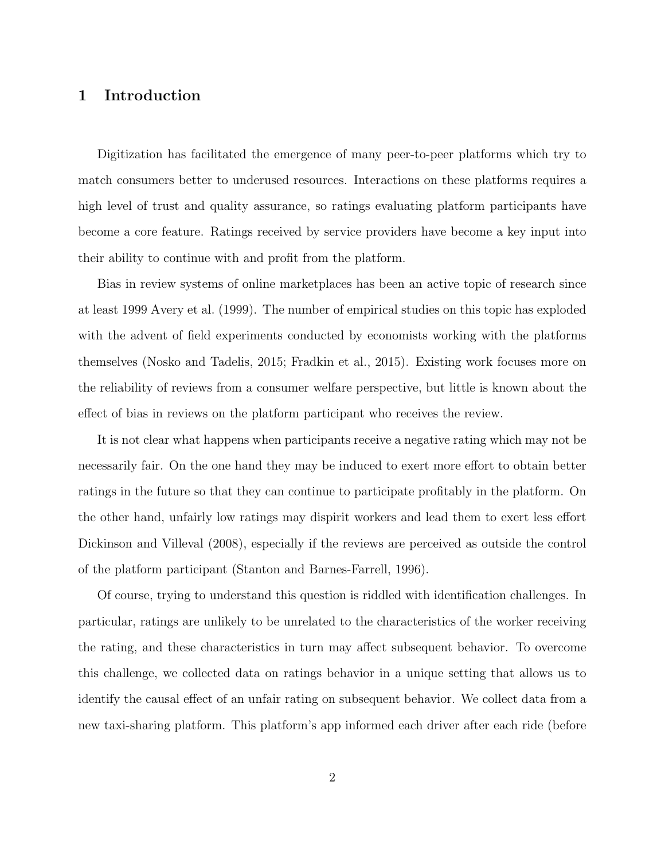# 1 Introduction

Digitization has facilitated the emergence of many peer-to-peer platforms which try to match consumers better to underused resources. Interactions on these platforms requires a high level of trust and quality assurance, so ratings evaluating platform participants have become a core feature. Ratings received by service providers have become a key input into their ability to continue with and profit from the platform.

Bias in review systems of online marketplaces has been an active topic of research since at least 1999 Avery et al. (1999). The number of empirical studies on this topic has exploded with the advent of field experiments conducted by economists working with the platforms themselves (Nosko and Tadelis, 2015; Fradkin et al., 2015). Existing work focuses more on the reliability of reviews from a consumer welfare perspective, but little is known about the effect of bias in reviews on the platform participant who receives the review.

It is not clear what happens when participants receive a negative rating which may not be necessarily fair. On the one hand they may be induced to exert more effort to obtain better ratings in the future so that they can continue to participate profitably in the platform. On the other hand, unfairly low ratings may dispirit workers and lead them to exert less effort Dickinson and Villeval (2008), especially if the reviews are perceived as outside the control of the platform participant (Stanton and Barnes-Farrell, 1996).

Of course, trying to understand this question is riddled with identification challenges. In particular, ratings are unlikely to be unrelated to the characteristics of the worker receiving the rating, and these characteristics in turn may affect subsequent behavior. To overcome this challenge, we collected data on ratings behavior in a unique setting that allows us to identify the causal effect of an unfair rating on subsequent behavior. We collect data from a new taxi-sharing platform. This platform's app informed each driver after each ride (before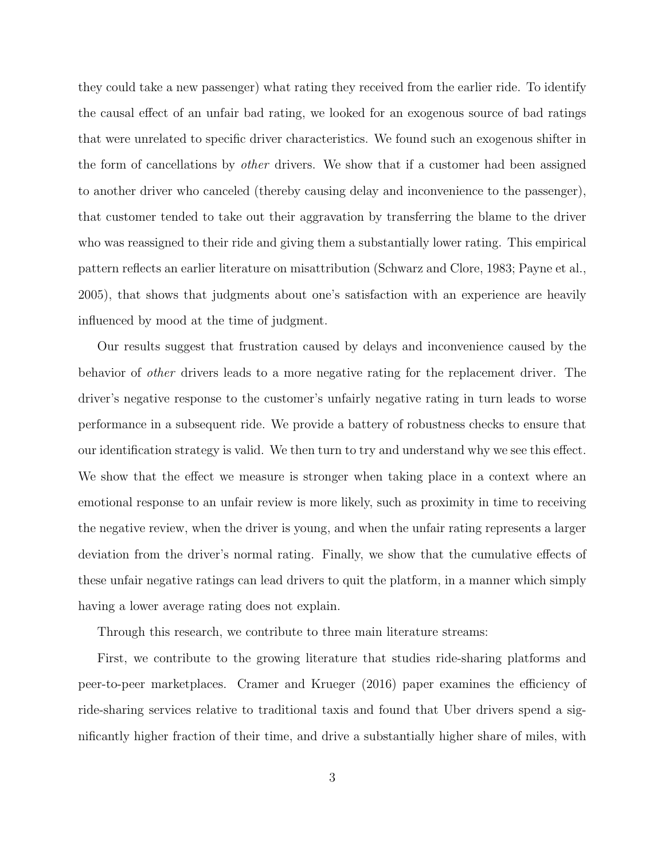they could take a new passenger) what rating they received from the earlier ride. To identify the causal effect of an unfair bad rating, we looked for an exogenous source of bad ratings that were unrelated to specific driver characteristics. We found such an exogenous shifter in the form of cancellations by other drivers. We show that if a customer had been assigned to another driver who canceled (thereby causing delay and inconvenience to the passenger), that customer tended to take out their aggravation by transferring the blame to the driver who was reassigned to their ride and giving them a substantially lower rating. This empirical pattern reflects an earlier literature on misattribution (Schwarz and Clore, 1983; Payne et al., 2005), that shows that judgments about one's satisfaction with an experience are heavily influenced by mood at the time of judgment.

Our results suggest that frustration caused by delays and inconvenience caused by the behavior of other drivers leads to a more negative rating for the replacement driver. The driver's negative response to the customer's unfairly negative rating in turn leads to worse performance in a subsequent ride. We provide a battery of robustness checks to ensure that our identification strategy is valid. We then turn to try and understand why we see this effect. We show that the effect we measure is stronger when taking place in a context where an emotional response to an unfair review is more likely, such as proximity in time to receiving the negative review, when the driver is young, and when the unfair rating represents a larger deviation from the driver's normal rating. Finally, we show that the cumulative effects of these unfair negative ratings can lead drivers to quit the platform, in a manner which simply having a lower average rating does not explain.

Through this research, we contribute to three main literature streams:

First, we contribute to the growing literature that studies ride-sharing platforms and peer-to-peer marketplaces. Cramer and Krueger (2016) paper examines the efficiency of ride-sharing services relative to traditional taxis and found that Uber drivers spend a significantly higher fraction of their time, and drive a substantially higher share of miles, with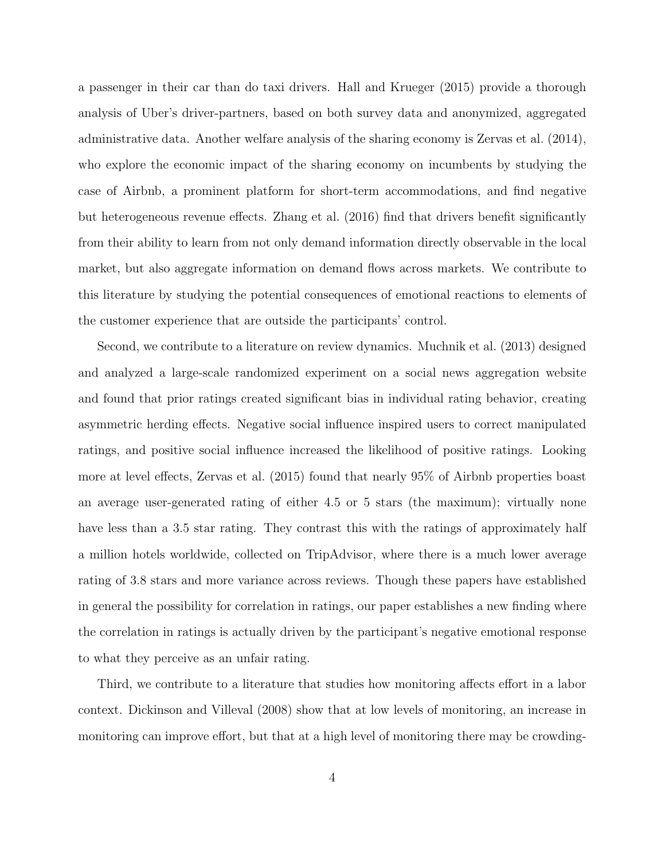a passenger in their car than do taxi drivers. Hall and Krueger (2015) provide a thorough analysis of Uber's driver-partners, based on both survey data and anonymized, aggregated administrative data. Another welfare analysis of the sharing economy is Zervas et al. (2014), who explore the economic impact of the sharing economy on incumbents by studying the case of Airbnb, a prominent platform for short-term accommodations, and find negative but heterogeneous revenue effects. Zhang et al. (2016) find that drivers benefit significantly from their ability to learn from not only demand information directly observable in the local market, but also aggregate information on demand flows across markets. We contribute to this literature by studying the potential consequences of emotional reactions to elements of the customer experience that are outside the participants' control.

Second, we contribute to a literature on review dynamics. Muchnik et al. (2013) designed and analyzed a large-scale randomized experiment on a social news aggregation website and found that prior ratings created significant bias in individual rating behavior, creating asymmetric herding effects. Negative social influence inspired users to correct manipulated ratings, and positive social influence increased the likelihood of positive ratings. Looking more at level effects, Zervas et al. (2015) found that nearly 95% of Airbnb properties boast an average user-generated rating of either 4.5 or 5 stars (the maximum); virtually none have less than a 3.5 star rating. They contrast this with the ratings of approximately half a million hotels worldwide, collected on TripAdvisor, where there is a much lower average rating of 3.8 stars and more variance across reviews. Though these papers have established in general the possibility for correlation in ratings, our paper establishes a new finding where the correlation in ratings is actually driven by the participant's negative emotional response to what they perceive as an unfair rating.

Third, we contribute to a literature that studies how monitoring affects effort in a labor context. Dickinson and Villeval (2008) show that at low levels of monitoring, an increase in monitoring can improve effort, but that at a high level of monitoring there may be crowding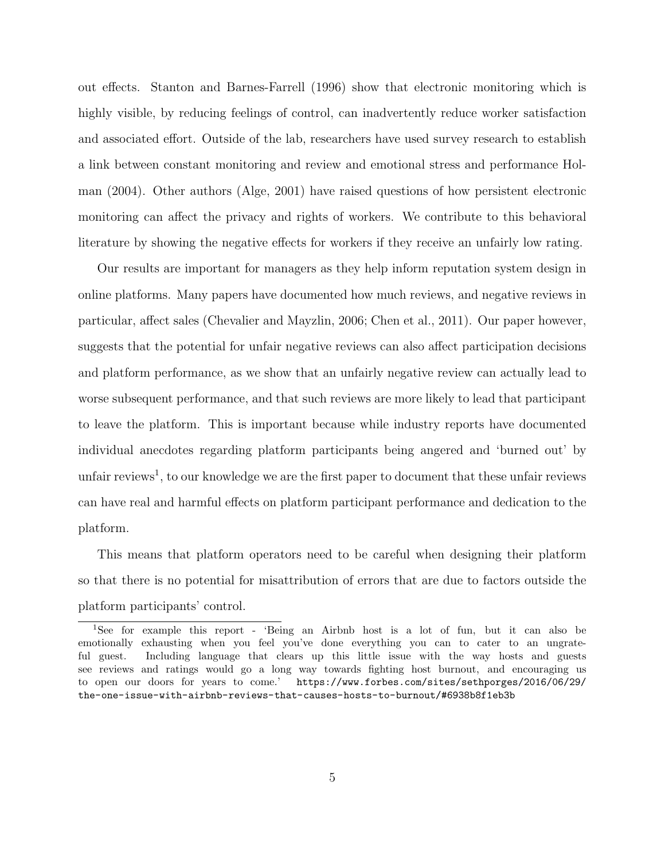out effects. Stanton and Barnes-Farrell (1996) show that electronic monitoring which is highly visible, by reducing feelings of control, can inadvertently reduce worker satisfaction and associated effort. Outside of the lab, researchers have used survey research to establish a link between constant monitoring and review and emotional stress and performance Holman (2004). Other authors (Alge, 2001) have raised questions of how persistent electronic monitoring can affect the privacy and rights of workers. We contribute to this behavioral literature by showing the negative effects for workers if they receive an unfairly low rating.

Our results are important for managers as they help inform reputation system design in online platforms. Many papers have documented how much reviews, and negative reviews in particular, affect sales (Chevalier and Mayzlin, 2006; Chen et al., 2011). Our paper however, suggests that the potential for unfair negative reviews can also affect participation decisions and platform performance, as we show that an unfairly negative review can actually lead to worse subsequent performance, and that such reviews are more likely to lead that participant to leave the platform. This is important because while industry reports have documented individual anecdotes regarding platform participants being angered and 'burned out' by unfair reviews<sup>1</sup>, to our knowledge we are the first paper to document that these unfair reviews can have real and harmful effects on platform participant performance and dedication to the platform.

This means that platform operators need to be careful when designing their platform so that there is no potential for misattribution of errors that are due to factors outside the platform participants' control.

<sup>1</sup>See for example this report - 'Being an Airbnb host is a lot of fun, but it can also be emotionally exhausting when you feel you've done everything you can to cater to an ungrateful guest. Including language that clears up this little issue with the way hosts and guests see reviews and ratings would go a long way towards fighting host burnout, and encouraging us to open our doors for years to come.' https://www.forbes.com/sites/sethporges/2016/06/29/ the-one-issue-with-airbnb-reviews-that-causes-hosts-to-burnout/#6938b8f1eb3b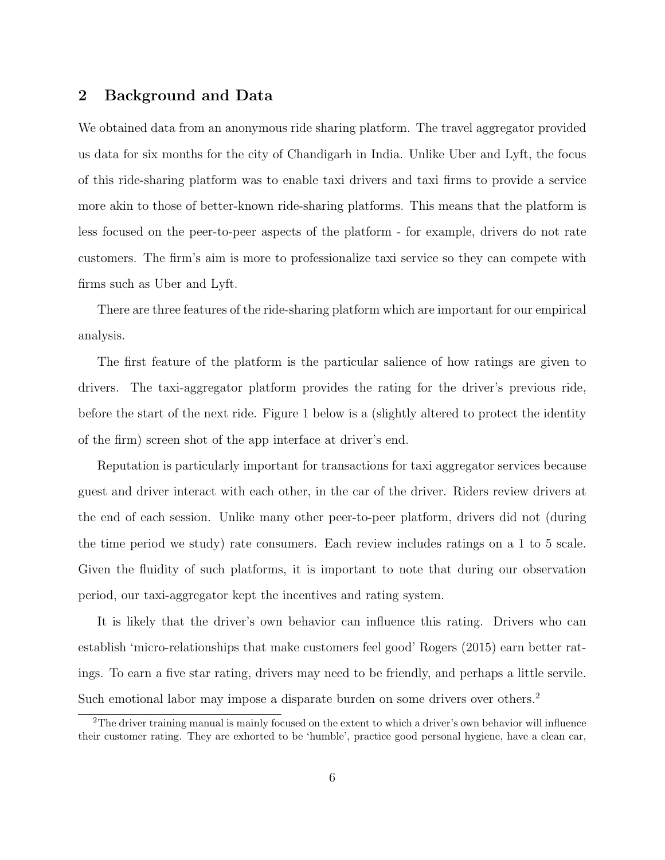### 2 Background and Data

We obtained data from an anonymous ride sharing platform. The travel aggregator provided us data for six months for the city of Chandigarh in India. Unlike Uber and Lyft, the focus of this ride-sharing platform was to enable taxi drivers and taxi firms to provide a service more akin to those of better-known ride-sharing platforms. This means that the platform is less focused on the peer-to-peer aspects of the platform - for example, drivers do not rate customers. The firm's aim is more to professionalize taxi service so they can compete with firms such as Uber and Lyft.

There are three features of the ride-sharing platform which are important for our empirical analysis.

The first feature of the platform is the particular salience of how ratings are given to drivers. The taxi-aggregator platform provides the rating for the driver's previous ride, before the start of the next ride. Figure 1 below is a (slightly altered to protect the identity of the firm) screen shot of the app interface at driver's end.

Reputation is particularly important for transactions for taxi aggregator services because guest and driver interact with each other, in the car of the driver. Riders review drivers at the end of each session. Unlike many other peer-to-peer platform, drivers did not (during the time period we study) rate consumers. Each review includes ratings on a 1 to 5 scale. Given the fluidity of such platforms, it is important to note that during our observation period, our taxi-aggregator kept the incentives and rating system.

It is likely that the driver's own behavior can influence this rating. Drivers who can establish 'micro-relationships that make customers feel good' Rogers (2015) earn better ratings. To earn a five star rating, drivers may need to be friendly, and perhaps a little servile. Such emotional labor may impose a disparate burden on some drivers over others.<sup>2</sup>

<sup>&</sup>lt;sup>2</sup>The driver training manual is mainly focused on the extent to which a driver's own behavior will influence their customer rating. They are exhorted to be 'humble', practice good personal hygiene, have a clean car,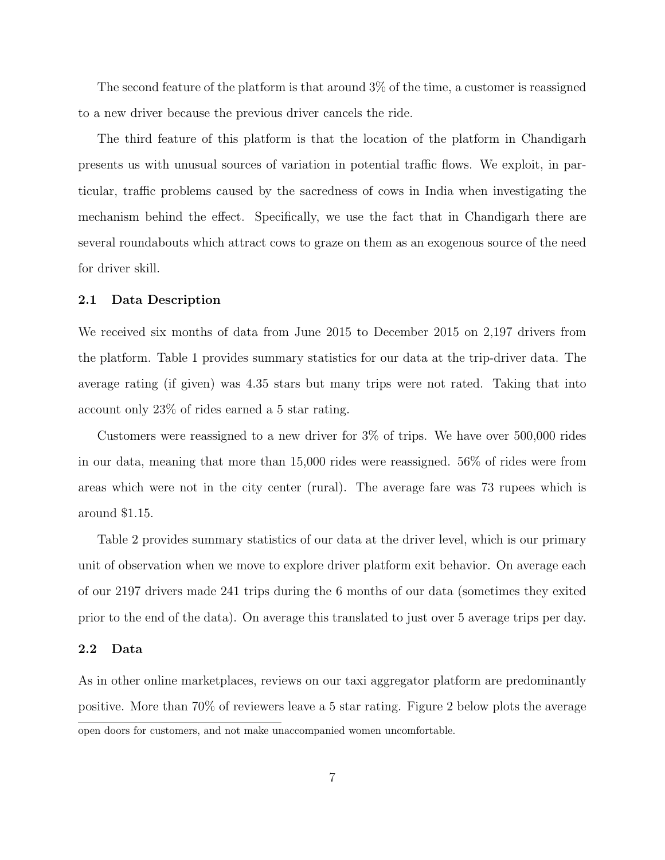The second feature of the platform is that around 3% of the time, a customer is reassigned to a new driver because the previous driver cancels the ride.

The third feature of this platform is that the location of the platform in Chandigarh presents us with unusual sources of variation in potential traffic flows. We exploit, in particular, traffic problems caused by the sacredness of cows in India when investigating the mechanism behind the effect. Specifically, we use the fact that in Chandigarh there are several roundabouts which attract cows to graze on them as an exogenous source of the need for driver skill.

#### 2.1 Data Description

We received six months of data from June 2015 to December 2015 on 2,197 drivers from the platform. Table 1 provides summary statistics for our data at the trip-driver data. The average rating (if given) was 4.35 stars but many trips were not rated. Taking that into account only 23% of rides earned a 5 star rating.

Customers were reassigned to a new driver for 3% of trips. We have over 500,000 rides in our data, meaning that more than 15,000 rides were reassigned. 56% of rides were from areas which were not in the city center (rural). The average fare was 73 rupees which is around \$1.15.

Table 2 provides summary statistics of our data at the driver level, which is our primary unit of observation when we move to explore driver platform exit behavior. On average each of our 2197 drivers made 241 trips during the 6 months of our data (sometimes they exited prior to the end of the data). On average this translated to just over 5 average trips per day.

#### 2.2 Data

As in other online marketplaces, reviews on our taxi aggregator platform are predominantly positive. More than 70% of reviewers leave a 5 star rating. Figure 2 below plots the average open doors for customers, and not make unaccompanied women uncomfortable.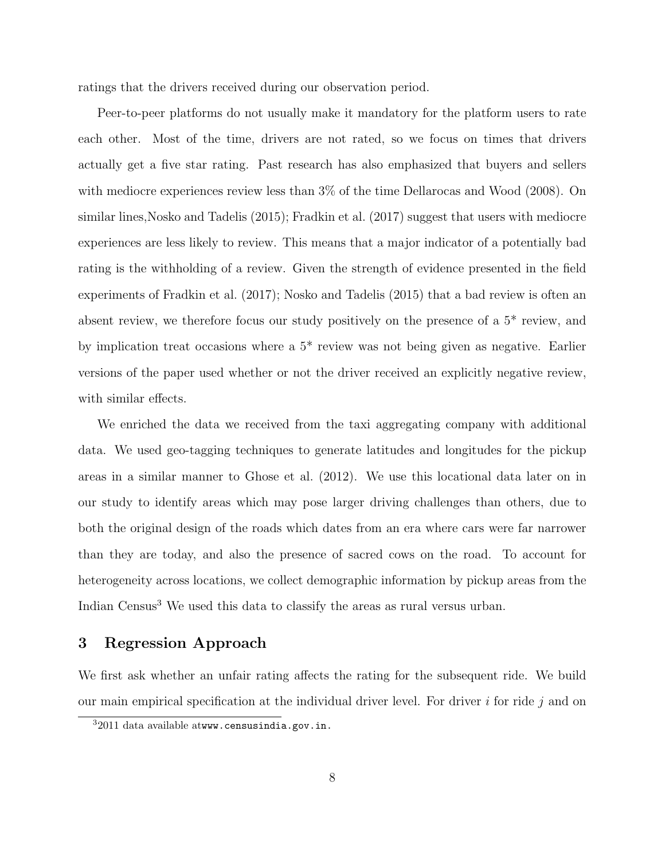ratings that the drivers received during our observation period.

Peer-to-peer platforms do not usually make it mandatory for the platform users to rate each other. Most of the time, drivers are not rated, so we focus on times that drivers actually get a five star rating. Past research has also emphasized that buyers and sellers with mediocre experiences review less than 3% of the time Dellarocas and Wood (2008). On similar lines,Nosko and Tadelis (2015); Fradkin et al. (2017) suggest that users with mediocre experiences are less likely to review. This means that a major indicator of a potentially bad rating is the withholding of a review. Given the strength of evidence presented in the field experiments of Fradkin et al. (2017); Nosko and Tadelis (2015) that a bad review is often an absent review, we therefore focus our study positively on the presence of a 5\* review, and by implication treat occasions where a 5\* review was not being given as negative. Earlier versions of the paper used whether or not the driver received an explicitly negative review, with similar effects.

We enriched the data we received from the taxi aggregating company with additional data. We used geo-tagging techniques to generate latitudes and longitudes for the pickup areas in a similar manner to Ghose et al. (2012). We use this locational data later on in our study to identify areas which may pose larger driving challenges than others, due to both the original design of the roads which dates from an era where cars were far narrower than they are today, and also the presence of sacred cows on the road. To account for heterogeneity across locations, we collect demographic information by pickup areas from the Indian Census<sup>3</sup> We used this data to classify the areas as rural versus urban.

#### 3 Regression Approach

We first ask whether an unfair rating affects the rating for the subsequent ride. We build our main empirical specification at the individual driver level. For driver  $i$  for ride  $j$  and on

 $32011$  data available atwww.censusindia.gov.in.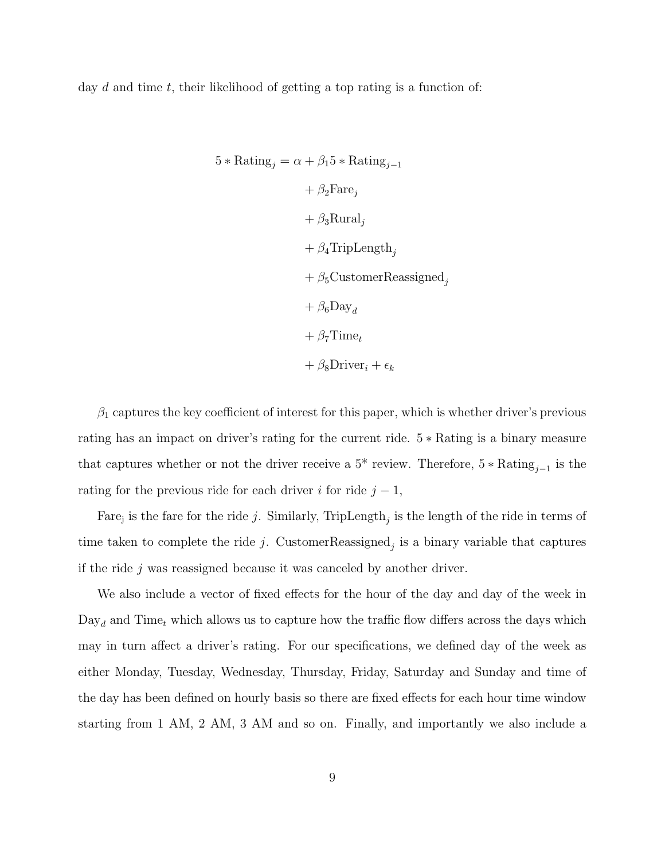day  $d$  and time  $t$ , their likelihood of getting a top rating is a function of:

$$
5 * \text{Rating}_{j} = \alpha + \beta_{1} 5 * \text{Rating}_{j-1}
$$
  
+  $\beta_{2} \text{Fare}_{j}$   
+  $\beta_{3} \text{Rural}_{j}$   
+  $\beta_{4} \text{Triplength}_{j}$   
+  $\beta_{5} \text{CustomerReasoned}_{j}$   
+  $\beta_{6} \text{Day}_{d}$   
+  $\beta_{7} \text{Time}_{t}$   
+  $\beta_{8} \text{Direct}_{i} + \epsilon_{k}$ 

 $\beta_1$  captures the key coefficient of interest for this paper, which is whether driver's previous rating has an impact on driver's rating for the current ride. 5 ∗ Rating is a binary measure that captures whether or not the driver receive a  $5^*$  review. Therefore,  $5 * \text{Rating}_{j-1}$  is the rating for the previous ride for each driver i for ride  $j - 1$ ,

Fare<sub>j</sub> is the fare for the ride j. Similarly, TripLength<sub>j</sub> is the length of the ride in terms of time taken to complete the ride j. CustomerReassigned<sub>j</sub> is a binary variable that captures if the ride j was reassigned because it was canceled by another driver.

We also include a vector of fixed effects for the hour of the day and day of the week in  $\text{Day}_d$  and Time<sub>t</sub> which allows us to capture how the traffic flow differs across the days which may in turn affect a driver's rating. For our specifications, we defined day of the week as either Monday, Tuesday, Wednesday, Thursday, Friday, Saturday and Sunday and time of the day has been defined on hourly basis so there are fixed effects for each hour time window starting from 1 AM, 2 AM, 3 AM and so on. Finally, and importantly we also include a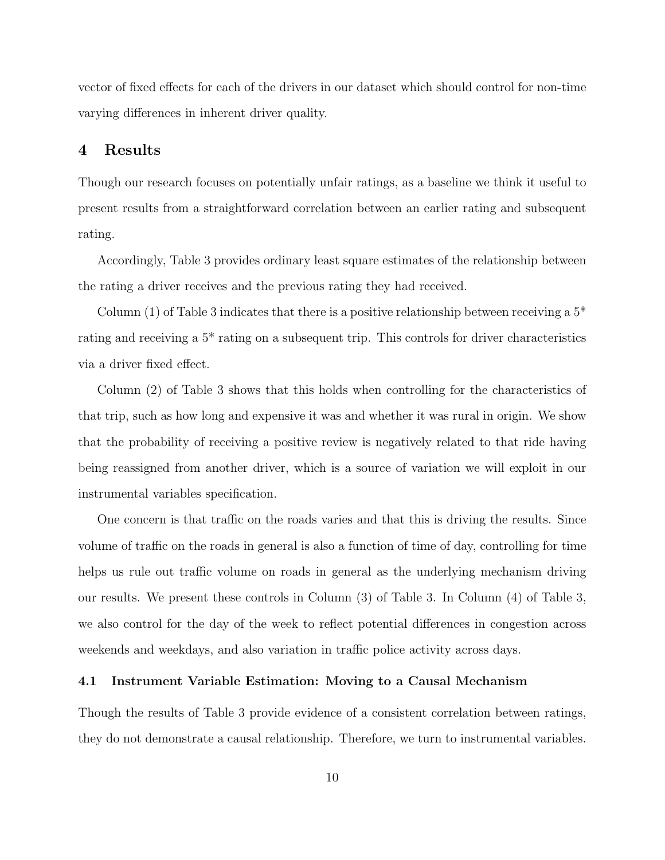vector of fixed effects for each of the drivers in our dataset which should control for non-time varying differences in inherent driver quality.

### 4 Results

Though our research focuses on potentially unfair ratings, as a baseline we think it useful to present results from a straightforward correlation between an earlier rating and subsequent rating.

Accordingly, Table 3 provides ordinary least square estimates of the relationship between the rating a driver receives and the previous rating they had received.

Column (1) of Table 3 indicates that there is a positive relationship between receiving a  $5^*$ rating and receiving a 5\* rating on a subsequent trip. This controls for driver characteristics via a driver fixed effect.

Column (2) of Table 3 shows that this holds when controlling for the characteristics of that trip, such as how long and expensive it was and whether it was rural in origin. We show that the probability of receiving a positive review is negatively related to that ride having being reassigned from another driver, which is a source of variation we will exploit in our instrumental variables specification.

One concern is that traffic on the roads varies and that this is driving the results. Since volume of traffic on the roads in general is also a function of time of day, controlling for time helps us rule out traffic volume on roads in general as the underlying mechanism driving our results. We present these controls in Column (3) of Table 3. In Column (4) of Table 3, we also control for the day of the week to reflect potential differences in congestion across weekends and weekdays, and also variation in traffic police activity across days.

#### 4.1 Instrument Variable Estimation: Moving to a Causal Mechanism

Though the results of Table 3 provide evidence of a consistent correlation between ratings, they do not demonstrate a causal relationship. Therefore, we turn to instrumental variables.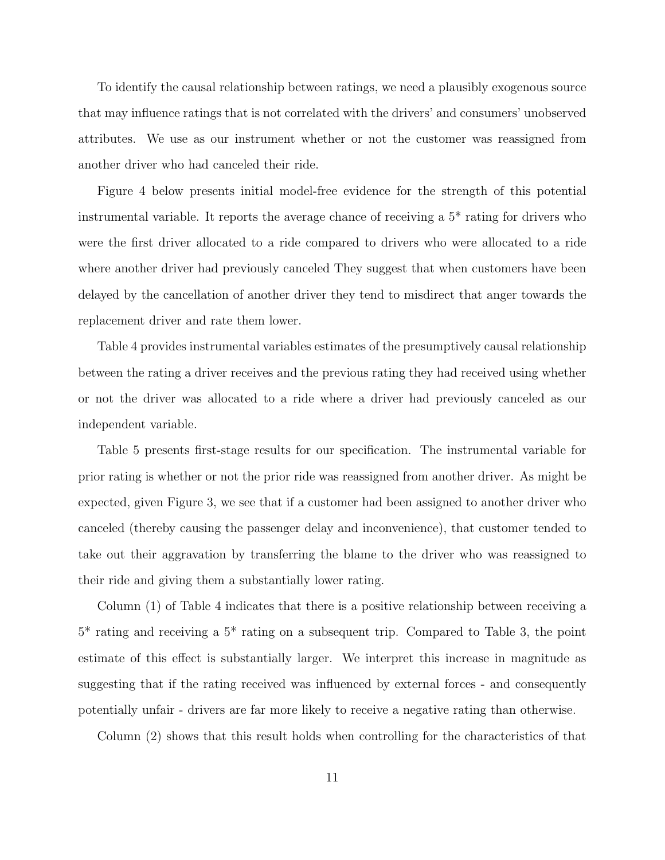To identify the causal relationship between ratings, we need a plausibly exogenous source that may influence ratings that is not correlated with the drivers' and consumers' unobserved attributes. We use as our instrument whether or not the customer was reassigned from another driver who had canceled their ride.

Figure 4 below presents initial model-free evidence for the strength of this potential instrumental variable. It reports the average chance of receiving a 5\* rating for drivers who were the first driver allocated to a ride compared to drivers who were allocated to a ride where another driver had previously canceled They suggest that when customers have been delayed by the cancellation of another driver they tend to misdirect that anger towards the replacement driver and rate them lower.

Table 4 provides instrumental variables estimates of the presumptively causal relationship between the rating a driver receives and the previous rating they had received using whether or not the driver was allocated to a ride where a driver had previously canceled as our independent variable.

Table 5 presents first-stage results for our specification. The instrumental variable for prior rating is whether or not the prior ride was reassigned from another driver. As might be expected, given Figure 3, we see that if a customer had been assigned to another driver who canceled (thereby causing the passenger delay and inconvenience), that customer tended to take out their aggravation by transferring the blame to the driver who was reassigned to their ride and giving them a substantially lower rating.

Column (1) of Table 4 indicates that there is a positive relationship between receiving a 5\* rating and receiving a 5\* rating on a subsequent trip. Compared to Table 3, the point estimate of this effect is substantially larger. We interpret this increase in magnitude as suggesting that if the rating received was influenced by external forces - and consequently potentially unfair - drivers are far more likely to receive a negative rating than otherwise.

Column (2) shows that this result holds when controlling for the characteristics of that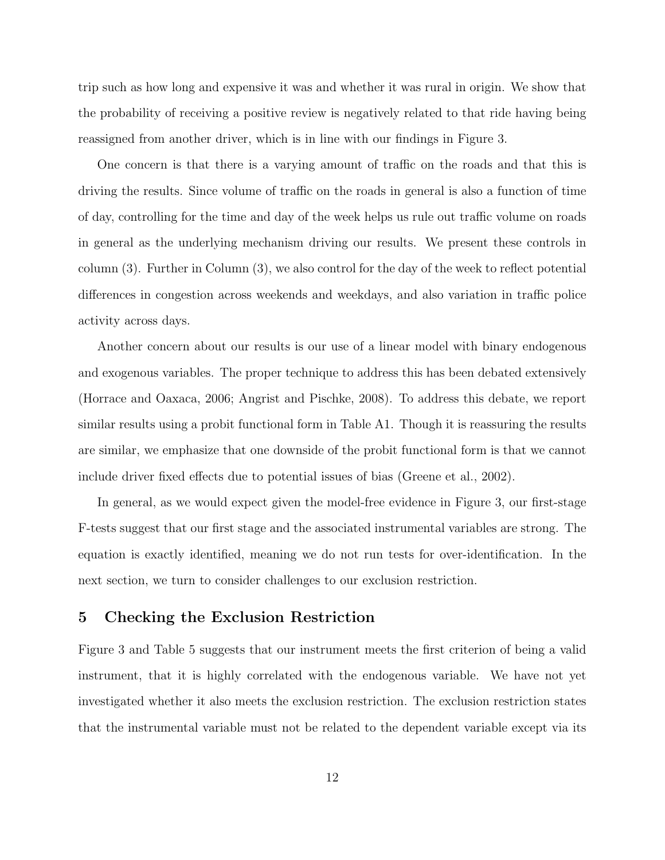trip such as how long and expensive it was and whether it was rural in origin. We show that the probability of receiving a positive review is negatively related to that ride having being reassigned from another driver, which is in line with our findings in Figure 3.

One concern is that there is a varying amount of traffic on the roads and that this is driving the results. Since volume of traffic on the roads in general is also a function of time of day, controlling for the time and day of the week helps us rule out traffic volume on roads in general as the underlying mechanism driving our results. We present these controls in column (3). Further in Column (3), we also control for the day of the week to reflect potential differences in congestion across weekends and weekdays, and also variation in traffic police activity across days.

Another concern about our results is our use of a linear model with binary endogenous and exogenous variables. The proper technique to address this has been debated extensively (Horrace and Oaxaca, 2006; Angrist and Pischke, 2008). To address this debate, we report similar results using a probit functional form in Table A1. Though it is reassuring the results are similar, we emphasize that one downside of the probit functional form is that we cannot include driver fixed effects due to potential issues of bias (Greene et al., 2002).

In general, as we would expect given the model-free evidence in Figure 3, our first-stage F-tests suggest that our first stage and the associated instrumental variables are strong. The equation is exactly identified, meaning we do not run tests for over-identification. In the next section, we turn to consider challenges to our exclusion restriction.

# 5 Checking the Exclusion Restriction

Figure 3 and Table 5 suggests that our instrument meets the first criterion of being a valid instrument, that it is highly correlated with the endogenous variable. We have not yet investigated whether it also meets the exclusion restriction. The exclusion restriction states that the instrumental variable must not be related to the dependent variable except via its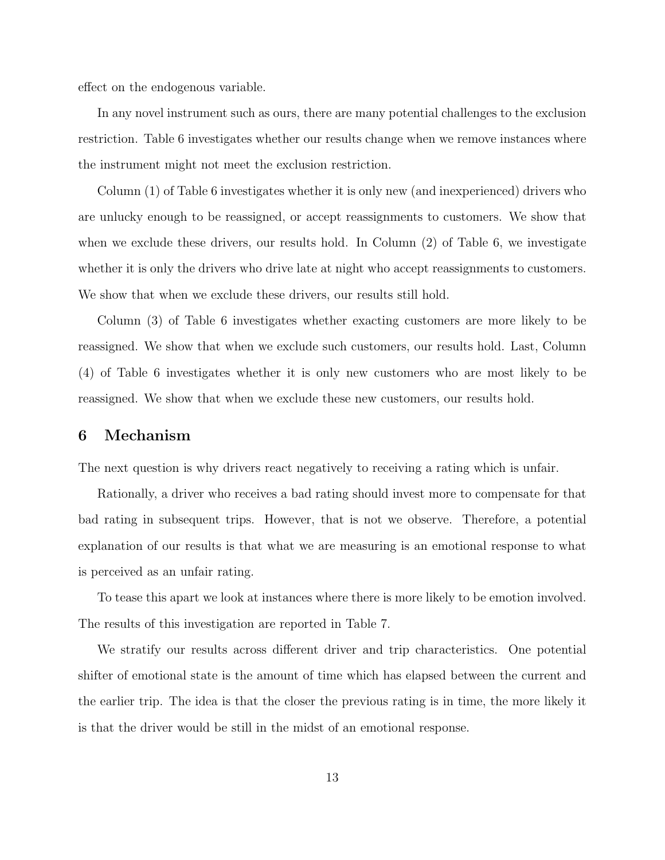effect on the endogenous variable.

In any novel instrument such as ours, there are many potential challenges to the exclusion restriction. Table 6 investigates whether our results change when we remove instances where the instrument might not meet the exclusion restriction.

Column (1) of Table 6 investigates whether it is only new (and inexperienced) drivers who are unlucky enough to be reassigned, or accept reassignments to customers. We show that when we exclude these drivers, our results hold. In Column (2) of Table 6, we investigate whether it is only the drivers who drive late at night who accept reassignments to customers. We show that when we exclude these drivers, our results still hold.

Column (3) of Table 6 investigates whether exacting customers are more likely to be reassigned. We show that when we exclude such customers, our results hold. Last, Column (4) of Table 6 investigates whether it is only new customers who are most likely to be reassigned. We show that when we exclude these new customers, our results hold.

#### 6 Mechanism

The next question is why drivers react negatively to receiving a rating which is unfair.

Rationally, a driver who receives a bad rating should invest more to compensate for that bad rating in subsequent trips. However, that is not we observe. Therefore, a potential explanation of our results is that what we are measuring is an emotional response to what is perceived as an unfair rating.

To tease this apart we look at instances where there is more likely to be emotion involved. The results of this investigation are reported in Table 7.

We stratify our results across different driver and trip characteristics. One potential shifter of emotional state is the amount of time which has elapsed between the current and the earlier trip. The idea is that the closer the previous rating is in time, the more likely it is that the driver would be still in the midst of an emotional response.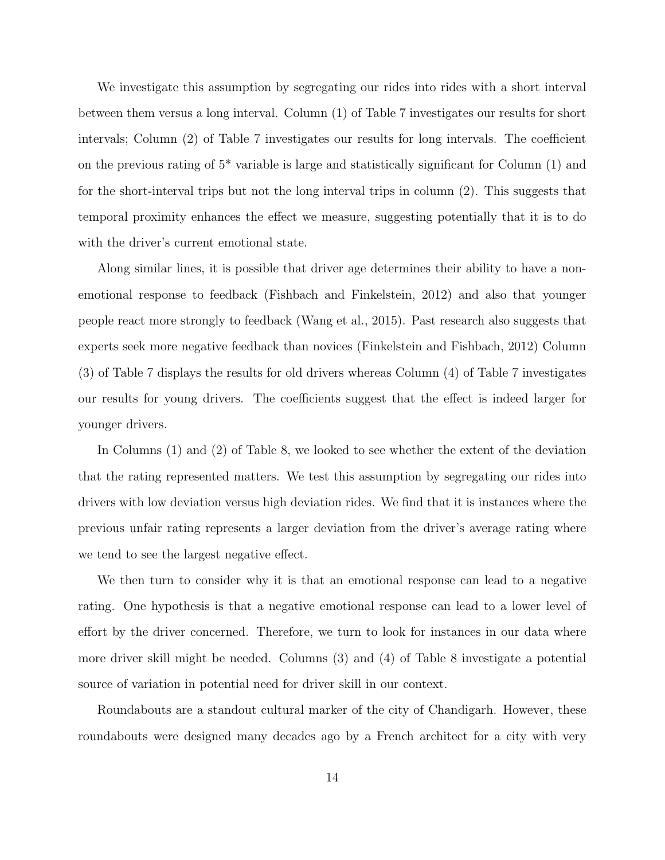We investigate this assumption by segregating our rides into rides with a short interval between them versus a long interval. Column (1) of Table 7 investigates our results for short intervals; Column (2) of Table 7 investigates our results for long intervals. The coefficient on the previous rating of  $5^*$  variable is large and statistically significant for Column  $(1)$  and for the short-interval trips but not the long interval trips in column (2). This suggests that temporal proximity enhances the effect we measure, suggesting potentially that it is to do with the driver's current emotional state.

Along similar lines, it is possible that driver age determines their ability to have a nonemotional response to feedback (Fishbach and Finkelstein, 2012) and also that younger people react more strongly to feedback (Wang et al., 2015). Past research also suggests that experts seek more negative feedback than novices (Finkelstein and Fishbach, 2012) Column (3) of Table 7 displays the results for old drivers whereas Column (4) of Table 7 investigates our results for young drivers. The coefficients suggest that the effect is indeed larger for younger drivers.

In Columns (1) and (2) of Table 8, we looked to see whether the extent of the deviation that the rating represented matters. We test this assumption by segregating our rides into drivers with low deviation versus high deviation rides. We find that it is instances where the previous unfair rating represents a larger deviation from the driver's average rating where we tend to see the largest negative effect.

We then turn to consider why it is that an emotional response can lead to a negative rating. One hypothesis is that a negative emotional response can lead to a lower level of effort by the driver concerned. Therefore, we turn to look for instances in our data where more driver skill might be needed. Columns (3) and (4) of Table 8 investigate a potential source of variation in potential need for driver skill in our context.

Roundabouts are a standout cultural marker of the city of Chandigarh. However, these roundabouts were designed many decades ago by a French architect for a city with very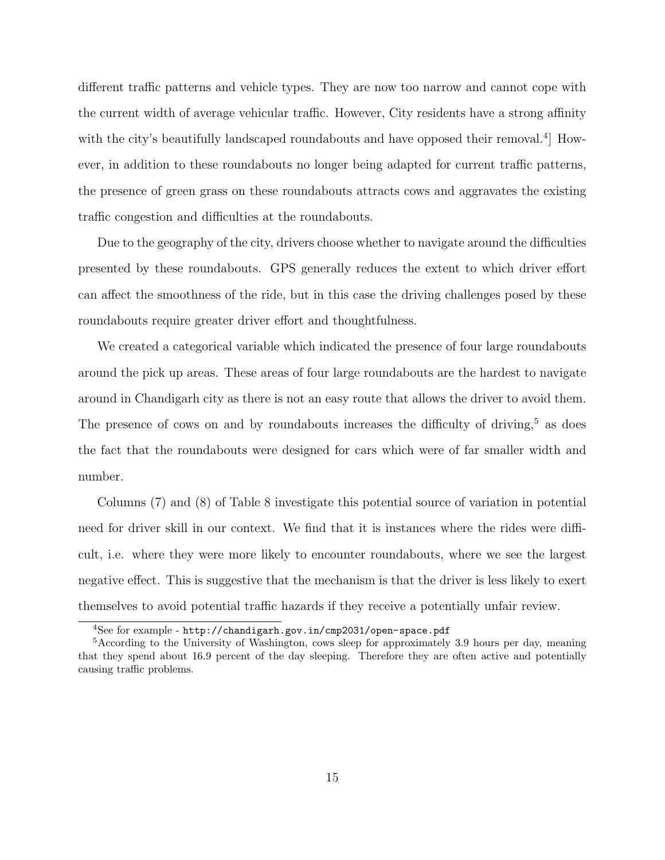different traffic patterns and vehicle types. They are now too narrow and cannot cope with the current width of average vehicular traffic. However, City residents have a strong affinity with the city's beautifully landscaped roundabouts and have opposed their removal.<sup>4</sup> However, in addition to these roundabouts no longer being adapted for current traffic patterns, the presence of green grass on these roundabouts attracts cows and aggravates the existing traffic congestion and difficulties at the roundabouts.

Due to the geography of the city, drivers choose whether to navigate around the difficulties presented by these roundabouts. GPS generally reduces the extent to which driver effort can affect the smoothness of the ride, but in this case the driving challenges posed by these roundabouts require greater driver effort and thoughtfulness.

We created a categorical variable which indicated the presence of four large roundabouts around the pick up areas. These areas of four large roundabouts are the hardest to navigate around in Chandigarh city as there is not an easy route that allows the driver to avoid them. The presence of cows on and by roundabouts increases the difficulty of driving,<sup>5</sup> as does the fact that the roundabouts were designed for cars which were of far smaller width and number.

Columns (7) and (8) of Table 8 investigate this potential source of variation in potential need for driver skill in our context. We find that it is instances where the rides were difficult, i.e. where they were more likely to encounter roundabouts, where we see the largest negative effect. This is suggestive that the mechanism is that the driver is less likely to exert themselves to avoid potential traffic hazards if they receive a potentially unfair review.

<sup>4</sup>See for example - http://chandigarh.gov.in/cmp2031/open-space.pdf

<sup>&</sup>lt;sup>5</sup>According to the University of Washington, cows sleep for approximately 3.9 hours per day, meaning that they spend about 16.9 percent of the day sleeping. Therefore they are often active and potentially causing traffic problems.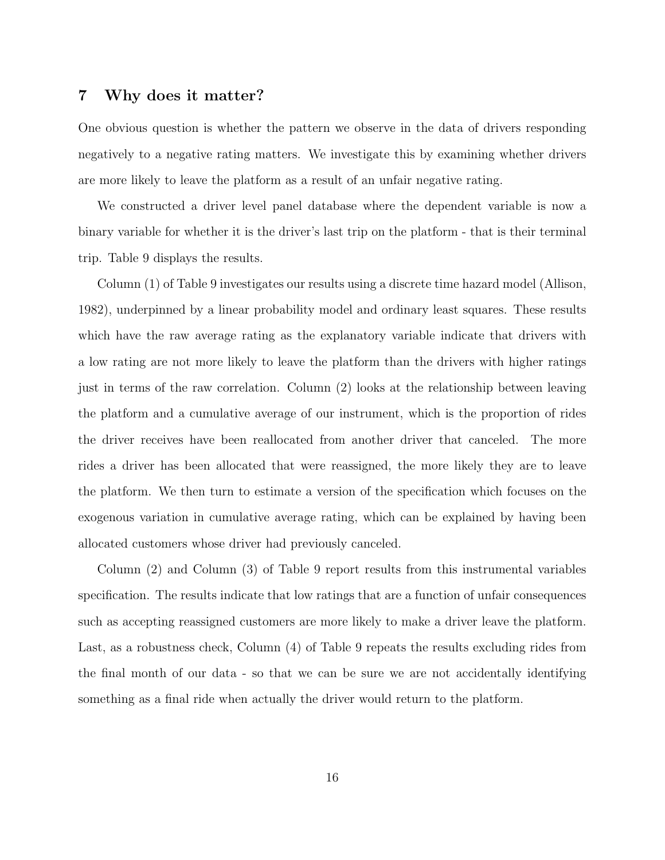#### 7 Why does it matter?

One obvious question is whether the pattern we observe in the data of drivers responding negatively to a negative rating matters. We investigate this by examining whether drivers are more likely to leave the platform as a result of an unfair negative rating.

We constructed a driver level panel database where the dependent variable is now a binary variable for whether it is the driver's last trip on the platform - that is their terminal trip. Table 9 displays the results.

Column (1) of Table 9 investigates our results using a discrete time hazard model (Allison, 1982), underpinned by a linear probability model and ordinary least squares. These results which have the raw average rating as the explanatory variable indicate that drivers with a low rating are not more likely to leave the platform than the drivers with higher ratings just in terms of the raw correlation. Column (2) looks at the relationship between leaving the platform and a cumulative average of our instrument, which is the proportion of rides the driver receives have been reallocated from another driver that canceled. The more rides a driver has been allocated that were reassigned, the more likely they are to leave the platform. We then turn to estimate a version of the specification which focuses on the exogenous variation in cumulative average rating, which can be explained by having been allocated customers whose driver had previously canceled.

Column (2) and Column (3) of Table 9 report results from this instrumental variables specification. The results indicate that low ratings that are a function of unfair consequences such as accepting reassigned customers are more likely to make a driver leave the platform. Last, as a robustness check, Column (4) of Table 9 repeats the results excluding rides from the final month of our data - so that we can be sure we are not accidentally identifying something as a final ride when actually the driver would return to the platform.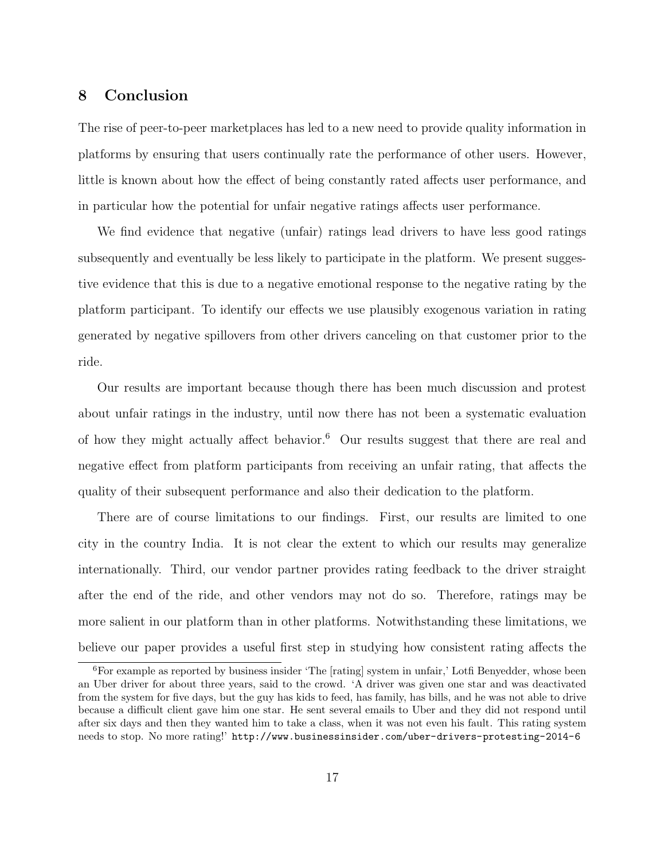# 8 Conclusion

The rise of peer-to-peer marketplaces has led to a new need to provide quality information in platforms by ensuring that users continually rate the performance of other users. However, little is known about how the effect of being constantly rated affects user performance, and in particular how the potential for unfair negative ratings affects user performance.

We find evidence that negative (unfair) ratings lead drivers to have less good ratings subsequently and eventually be less likely to participate in the platform. We present suggestive evidence that this is due to a negative emotional response to the negative rating by the platform participant. To identify our effects we use plausibly exogenous variation in rating generated by negative spillovers from other drivers canceling on that customer prior to the ride.

Our results are important because though there has been much discussion and protest about unfair ratings in the industry, until now there has not been a systematic evaluation of how they might actually affect behavior.<sup>6</sup> Our results suggest that there are real and negative effect from platform participants from receiving an unfair rating, that affects the quality of their subsequent performance and also their dedication to the platform.

There are of course limitations to our findings. First, our results are limited to one city in the country India. It is not clear the extent to which our results may generalize internationally. Third, our vendor partner provides rating feedback to the driver straight after the end of the ride, and other vendors may not do so. Therefore, ratings may be more salient in our platform than in other platforms. Notwithstanding these limitations, we believe our paper provides a useful first step in studying how consistent rating affects the

<sup>&</sup>lt;sup>6</sup>For example as reported by business insider 'The [rating] system in unfair,' Lotfi Benyedder, whose been an Uber driver for about three years, said to the crowd. 'A driver was given one star and was deactivated from the system for five days, but the guy has kids to feed, has family, has bills, and he was not able to drive because a difficult client gave him one star. He sent several emails to Uber and they did not respond until after six days and then they wanted him to take a class, when it was not even his fault. This rating system needs to stop. No more rating!' http://www.businessinsider.com/uber-drivers-protesting-2014-6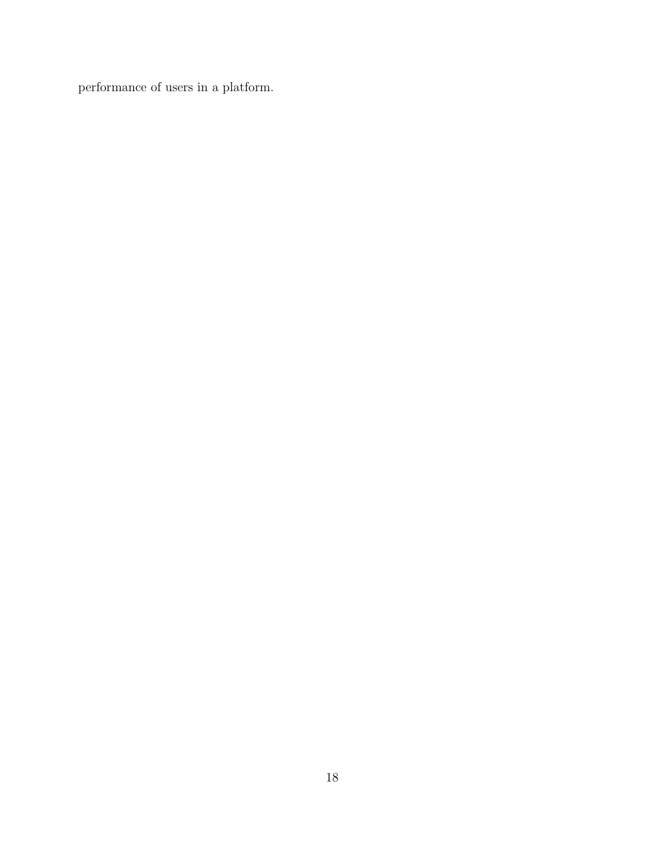performance of users in a platform.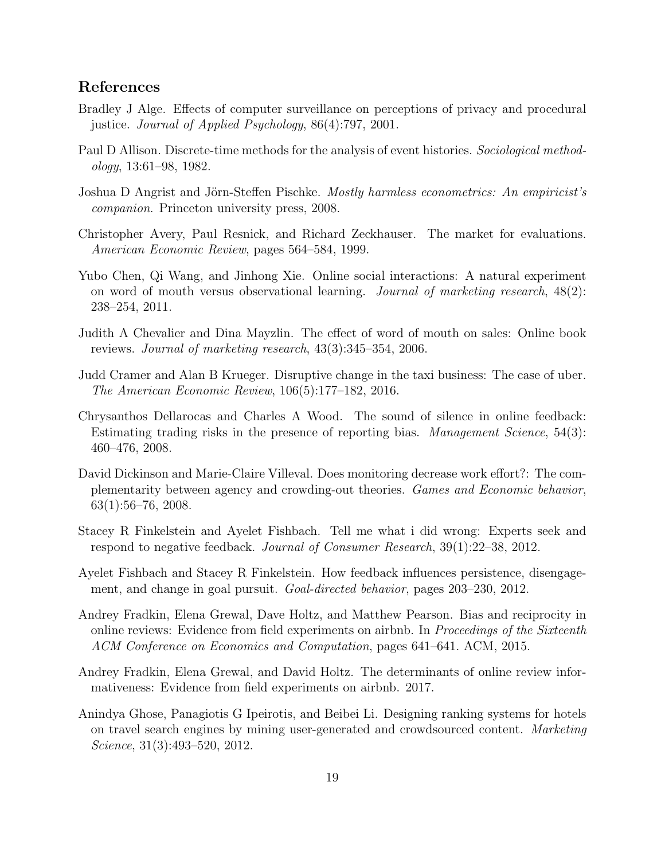## References

- Bradley J Alge. Effects of computer surveillance on perceptions of privacy and procedural justice. Journal of Applied Psychology, 86(4):797, 2001.
- Paul D Allison. Discrete-time methods for the analysis of event histories. Sociological methodology, 13:61–98, 1982.
- Joshua D Angrist and Jörn-Steffen Pischke. Mostly harmless econometrics: An empiricist's companion. Princeton university press, 2008.
- Christopher Avery, Paul Resnick, and Richard Zeckhauser. The market for evaluations. American Economic Review, pages 564–584, 1999.
- Yubo Chen, Qi Wang, and Jinhong Xie. Online social interactions: A natural experiment on word of mouth versus observational learning. Journal of marketing research,  $48(2)$ : 238–254, 2011.
- Judith A Chevalier and Dina Mayzlin. The effect of word of mouth on sales: Online book reviews. Journal of marketing research, 43(3):345–354, 2006.
- Judd Cramer and Alan B Krueger. Disruptive change in the taxi business: The case of uber. The American Economic Review, 106(5):177–182, 2016.
- Chrysanthos Dellarocas and Charles A Wood. The sound of silence in online feedback: Estimating trading risks in the presence of reporting bias. Management Science, 54(3): 460–476, 2008.
- David Dickinson and Marie-Claire Villeval. Does monitoring decrease work effort?: The complementarity between agency and crowding-out theories. Games and Economic behavior, 63(1):56–76, 2008.
- Stacey R Finkelstein and Ayelet Fishbach. Tell me what i did wrong: Experts seek and respond to negative feedback. Journal of Consumer Research, 39(1):22–38, 2012.
- Ayelet Fishbach and Stacey R Finkelstein. How feedback influences persistence, disengagement, and change in goal pursuit. Goal-directed behavior, pages 203–230, 2012.
- Andrey Fradkin, Elena Grewal, Dave Holtz, and Matthew Pearson. Bias and reciprocity in online reviews: Evidence from field experiments on airbnb. In Proceedings of the Sixteenth ACM Conference on Economics and Computation, pages 641–641. ACM, 2015.
- Andrey Fradkin, Elena Grewal, and David Holtz. The determinants of online review informativeness: Evidence from field experiments on airbnb. 2017.
- Anindya Ghose, Panagiotis G Ipeirotis, and Beibei Li. Designing ranking systems for hotels on travel search engines by mining user-generated and crowdsourced content. Marketing Science, 31(3):493–520, 2012.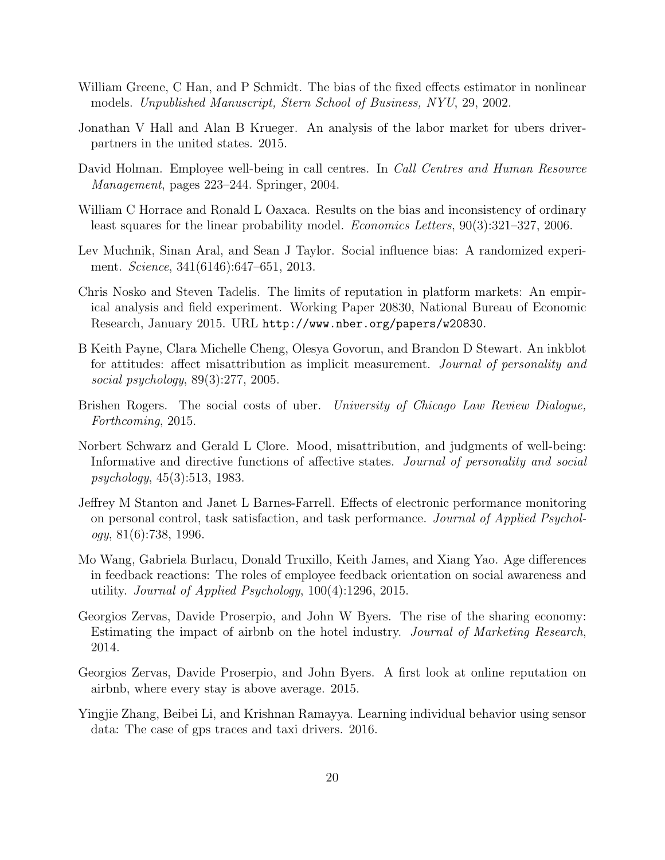- William Greene, C Han, and P Schmidt. The bias of the fixed effects estimator in nonlinear models. Unpublished Manuscript, Stern School of Business, NYU, 29, 2002.
- Jonathan V Hall and Alan B Krueger. An analysis of the labor market for ubers driverpartners in the united states. 2015.
- David Holman. Employee well-being in call centres. In *Call Centres and Human Resource* Management, pages 223–244. Springer, 2004.
- William C Horrace and Ronald L Oaxaca. Results on the bias and inconsistency of ordinary least squares for the linear probability model. Economics Letters, 90(3):321–327, 2006.
- Lev Muchnik, Sinan Aral, and Sean J Taylor. Social influence bias: A randomized experiment. Science, 341(6146):647–651, 2013.
- Chris Nosko and Steven Tadelis. The limits of reputation in platform markets: An empirical analysis and field experiment. Working Paper 20830, National Bureau of Economic Research, January 2015. URL http://www.nber.org/papers/w20830.
- B Keith Payne, Clara Michelle Cheng, Olesya Govorun, and Brandon D Stewart. An inkblot for attitudes: affect misattribution as implicit measurement. Journal of personality and social psychology, 89(3):277, 2005.
- Brishen Rogers. The social costs of uber. University of Chicago Law Review Dialogue, Forthcoming, 2015.
- Norbert Schwarz and Gerald L Clore. Mood, misattribution, and judgments of well-being: Informative and directive functions of affective states. Journal of personality and social psychology, 45(3):513, 1983.
- Jeffrey M Stanton and Janet L Barnes-Farrell. Effects of electronic performance monitoring on personal control, task satisfaction, and task performance. Journal of Applied Psychology, 81(6):738, 1996.
- Mo Wang, Gabriela Burlacu, Donald Truxillo, Keith James, and Xiang Yao. Age differences in feedback reactions: The roles of employee feedback orientation on social awareness and utility. Journal of Applied Psychology, 100(4):1296, 2015.
- Georgios Zervas, Davide Proserpio, and John W Byers. The rise of the sharing economy: Estimating the impact of airbnb on the hotel industry. Journal of Marketing Research, 2014.
- Georgios Zervas, Davide Proserpio, and John Byers. A first look at online reputation on airbnb, where every stay is above average. 2015.
- Yingjie Zhang, Beibei Li, and Krishnan Ramayya. Learning individual behavior using sensor data: The case of gps traces and taxi drivers. 2016.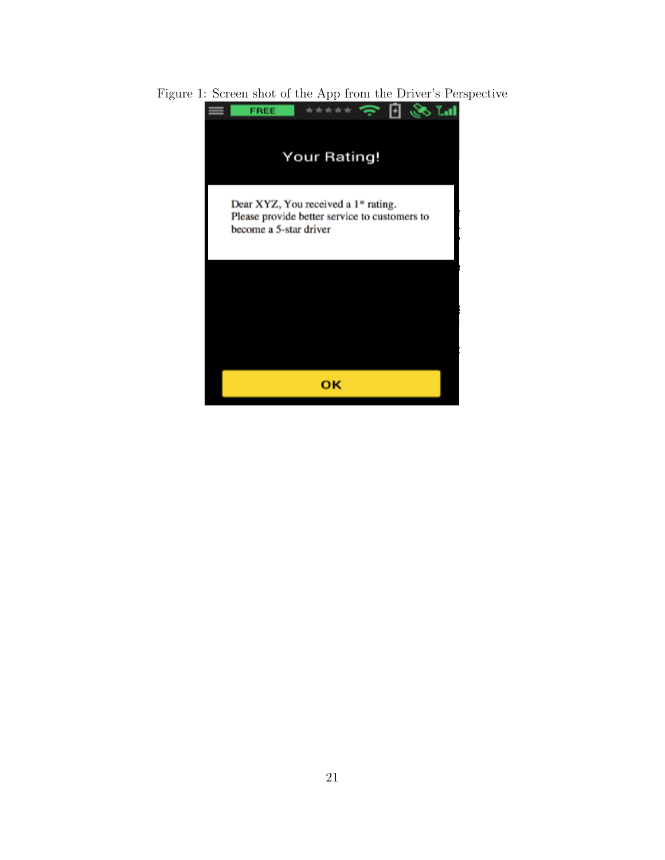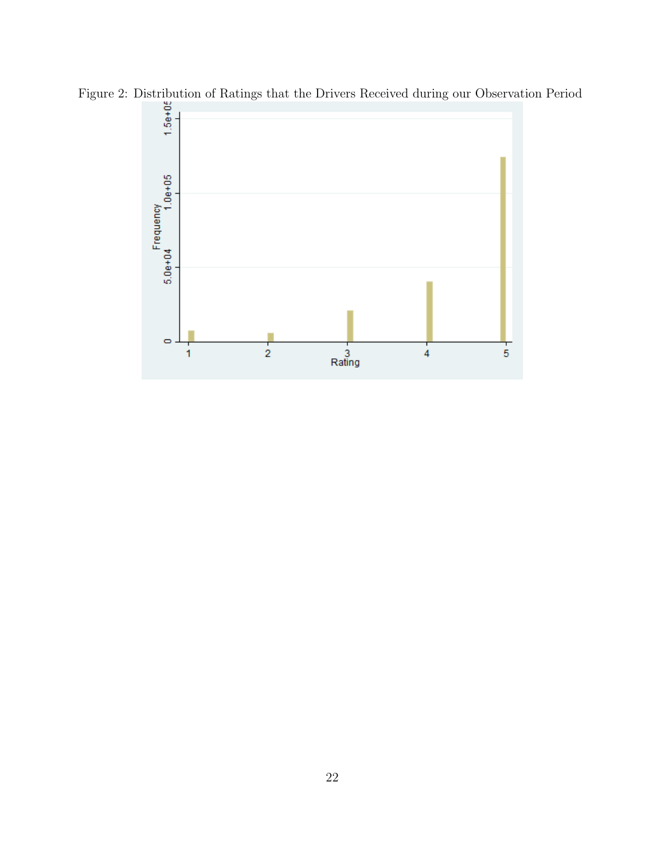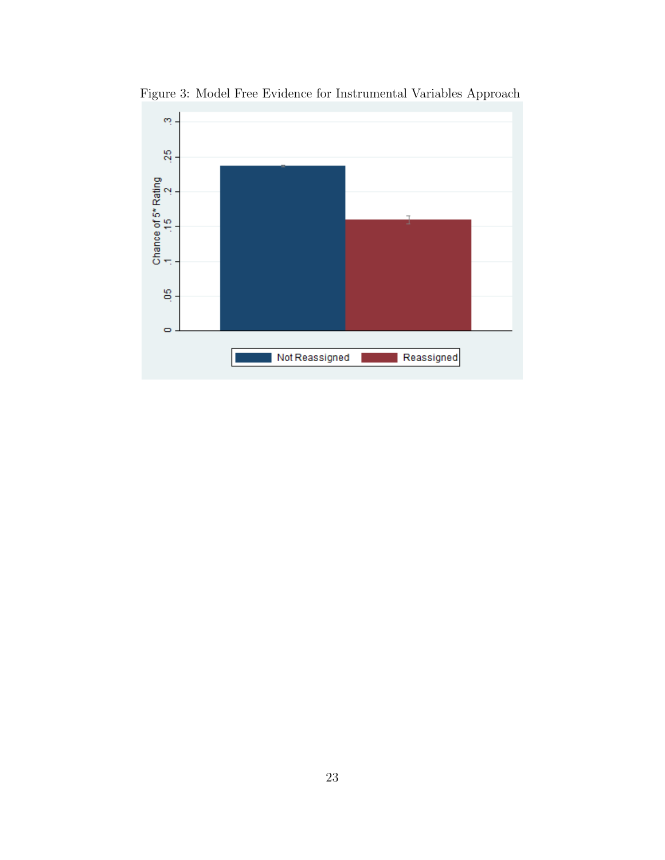

Figure 3: Model Free Evidence for Instrumental Variables Approach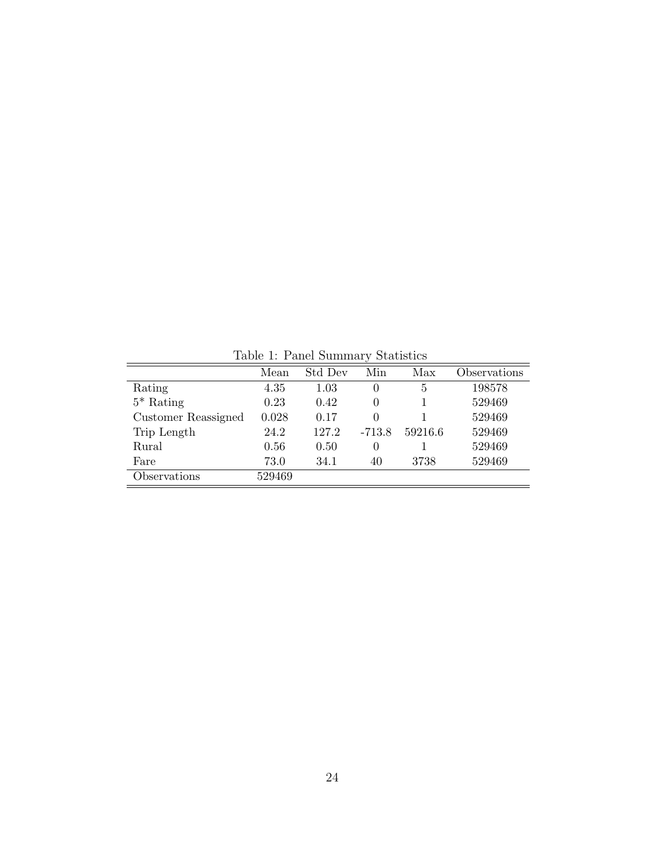Table 1: Panel Summary Statistics

|                     |        |         | $\cdot$  |         |              |
|---------------------|--------|---------|----------|---------|--------------|
|                     | Mean   | Std Dev | Min      | Max     | Observations |
| Rating              | 4.35   | 1.03    | 0        | 5       | 198578       |
| $5*$ Rating         | 0.23   | 0.42    | 0        |         | 529469       |
| Customer Reassigned | 0.028  | 0.17    | 0        |         | 529469       |
| Trip Length         | 24.2   | 127.2   | $-713.8$ | 59216.6 | 529469       |
| Rural               | 0.56   | 0.50    | $\theta$ |         | 529469       |
| Fare                | 73.0   | 34.1    | 40       | 3738    | 529469       |
| Observations        | 529469 |         |          |         |              |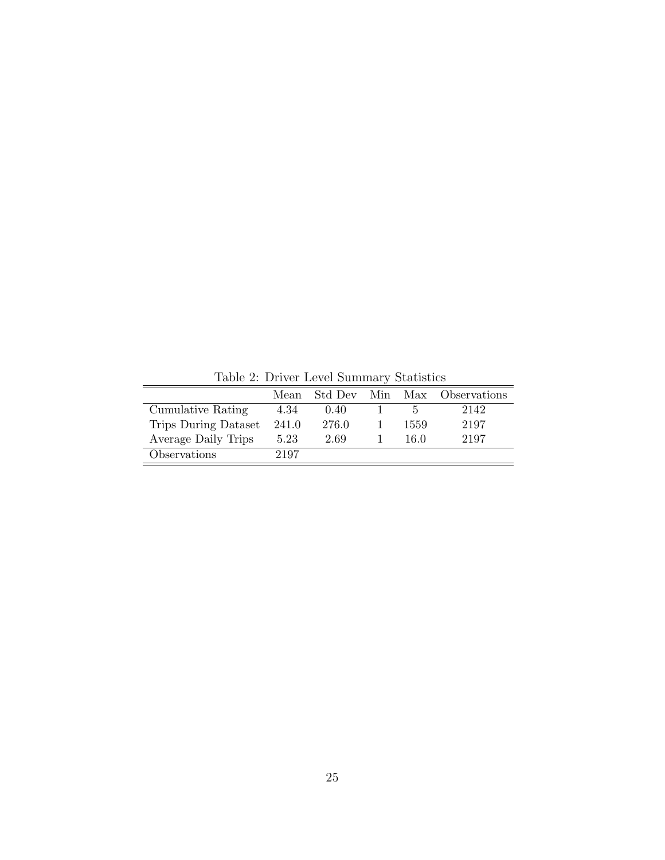|                      | Mean  | Std Dev |      | Min Max Observations |
|----------------------|-------|---------|------|----------------------|
| Cumulative Rating    | 4.34  | 0.40    |      | 2142                 |
| Trips During Dataset | 241.0 | 276.0   | 1559 | 2197                 |
| Average Daily Trips  | 5.23  | 2.69    | 16.0 | 2197                 |
| Observations         | 2197  |         |      |                      |

Table 2: Driver Level Summary Statistics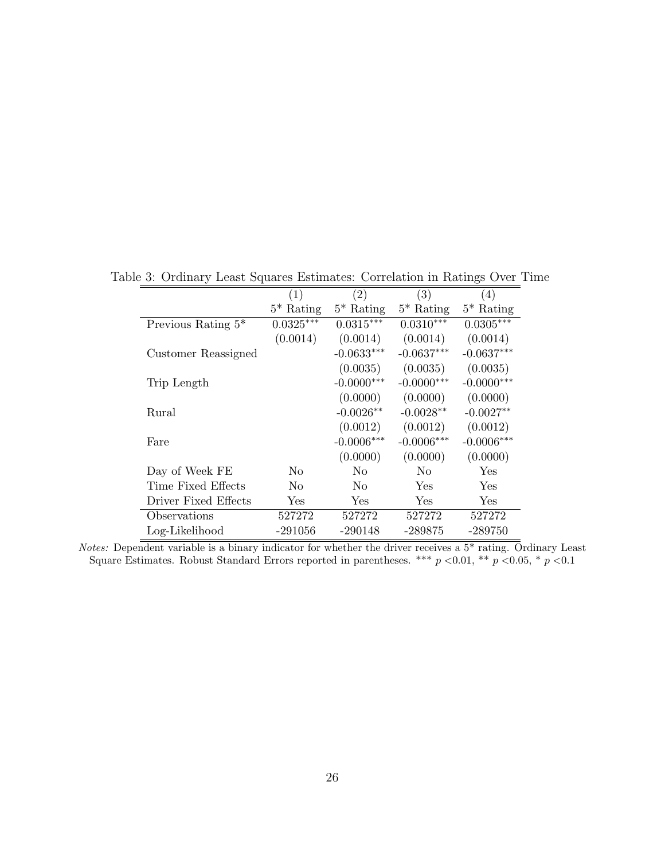|                       | $\left( 1\right)$    | $\left( 2\right)$ | (3)            | (4)          |
|-----------------------|----------------------|-------------------|----------------|--------------|
|                       | $5^*$ Rating         | $5^*$ Rating      | $5^*$ Rating   | $5^*$ Rating |
| Previous Rating $5^*$ | $0.0325***$          | $0.0315***$       | $0.0310***$    | $0.0305***$  |
|                       | (0.0014)             | (0.0014)          | (0.0014)       | (0.0014)     |
| Customer Reassigned   |                      | $-0.0633***$      | $-0.0637***$   | $-0.0637***$ |
|                       |                      | (0.0035)          | (0.0035)       | (0.0035)     |
| Trip Length           |                      | $-0.0000***$      | $-0.0000***$   | $-0.0000***$ |
|                       |                      | (0.0000)          | (0.0000)       | (0.0000)     |
| Rural                 |                      | $-0.0026**$       | $-0.0028**$    | $-0.0027**$  |
|                       |                      | (0.0012)          | (0.0012)       | (0.0012)     |
| Fare                  |                      | $-0.0006***$      | $-0.0006***$   | $-0.0006***$ |
|                       |                      | (0.0000)          | (0.0000)       | (0.0000)     |
| Day of Week FE        | N <sub>0</sub>       | N <sub>0</sub>    | N <sub>0</sub> | Yes          |
| Time Fixed Effects    | N <sub>0</sub>       | N <sub>0</sub>    | <b>Yes</b>     | Yes          |
| Driver Fixed Effects  | $\operatorname{Yes}$ | Yes               | Yes            | Yes          |
| Observations          | 527272               | 527272            | 527272         | 527272       |
| Log-Likelihood        | -291056              | $-290148$         | -289875        | -289750      |

Table 3: Ordinary Least Squares Estimates: Correlation in Ratings Over Time

Notes: Dependent variable is a binary indicator for whether the driver receives a 5\* rating. Ordinary Least Square Estimates. Robust Standard Errors reported in parentheses. \*\*\*  $p$  <0.01, \*\*  $p$  <0.05, \*  $p$  <0.1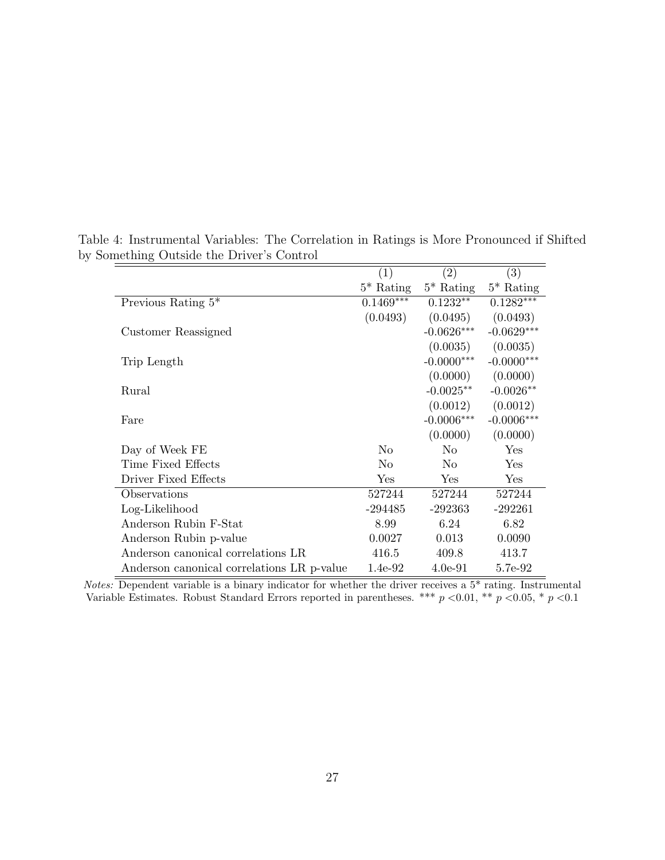|                                            | (1)            | (2)          | $\left( 3\right)$ |
|--------------------------------------------|----------------|--------------|-------------------|
|                                            | $5^*$ Rating   | $5^*$ Rating | $5^*$ Rating      |
| Previous Rating $5^*$                      | $0.1469***$    | $0.1232**$   | $0.1282***$       |
|                                            | (0.0493)       | (0.0495)     | (0.0493)          |
| Customer Reassigned                        |                | $-0.0626***$ | $-0.0629***$      |
|                                            |                | (0.0035)     | (0.0035)          |
| Trip Length                                |                | $-0.0000***$ | $-0.0000***$      |
|                                            |                | (0.0000)     | (0.0000)          |
| Rural                                      |                | $-0.0025**$  | $-0.0026**$       |
|                                            |                | (0.0012)     | (0.0012)          |
| Fare                                       |                | $-0.0006***$ | $-0.0006***$      |
|                                            |                | (0.0000)     | (0.0000)          |
| Day of Week FE                             | N <sub>o</sub> | No           | Yes               |
| Time Fixed Effects                         | N <sub>o</sub> | No           | Yes               |
| Driver Fixed Effects                       | Yes            | Yes          | Yes               |
| Observations                               | 527244         | 527244       | 527244            |
| Log-Likelihood                             | $-294485$      | $-292363$    | $-292261$         |
| Anderson Rubin F-Stat                      | 8.99           | 6.24         | 6.82              |
| Anderson Rubin p-value                     | 0.0027         | 0.013        | 0.0090            |
| Anderson canonical correlations LR         | 416.5          | 409.8        | 413.7             |
| Anderson canonical correlations LR p-value | $1.4e-92$      | $4.0e-91$    | 5.7e-92           |

Table 4: Instrumental Variables: The Correlation in Ratings is More Pronounced if Shifted by Something Outside the Driver's Control

Notes: Dependent variable is a binary indicator for whether the driver receives a 5\* rating. Instrumental Variable Estimates. Robust Standard Errors reported in parentheses. \*\*\*  $p < 0.01$ , \*\*  $p < 0.05$ , \*  $p < 0.1$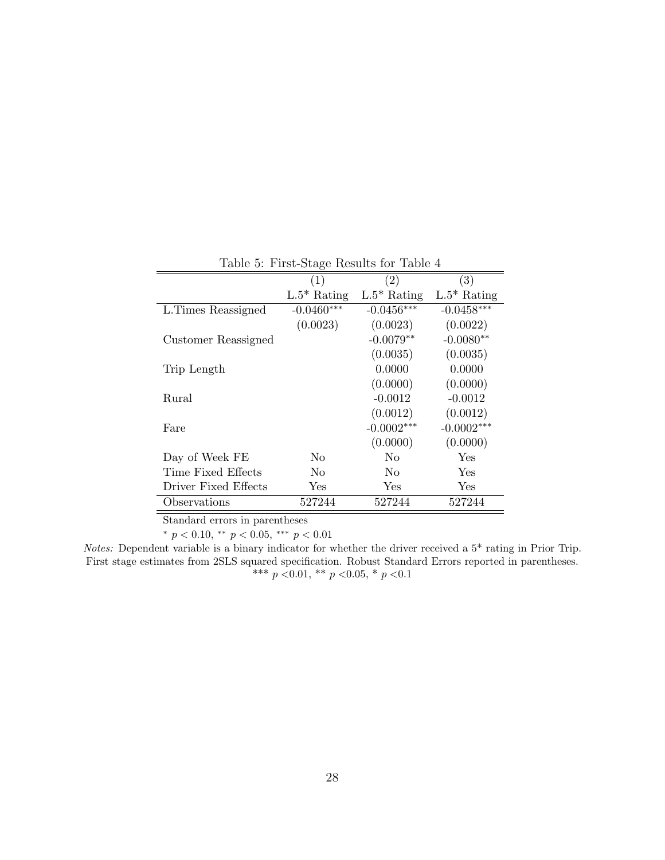|                      | (1)            | (2)            | (3)           |
|----------------------|----------------|----------------|---------------|
|                      | $L.5^*$ Rating | $L.5^*$ Rating | $L.5*$ Rating |
| L. Times Reassigned  | $-0.0460***$   | $-0.0456***$   | $-0.0458***$  |
|                      | (0.0023)       | (0.0023)       | (0.0022)      |
| Customer Reassigned  |                | $-0.0079**$    | $-0.0080**$   |
|                      |                | (0.0035)       | (0.0035)      |
| Trip Length          |                | 0.0000         | 0.0000        |
|                      |                | (0.0000)       | (0.0000)      |
| Rural                |                | $-0.0012$      | $-0.0012$     |
|                      |                | (0.0012)       | (0.0012)      |
| Fare                 |                | $-0.0002***$   | $-0.0002***$  |
|                      |                | (0.0000)       | (0.0000)      |
| Day of Week FE       | No             | No             | Yes           |
| Time Fixed Effects   | No             | N <sub>0</sub> | Yes           |
| Driver Fixed Effects | ${\rm Yes}$    | Yes            | Yes           |
| Observations         | 527244         | 527244         | 527244        |

Table 5: First-Stage Results for Table 4

Standard errors in parentheses

\*  $p < 0.10$ , \*\*  $p < 0.05$ , \*\*\*  $p < 0.01$ 

Notes: Dependent variable is a binary indicator for whether the driver received a 5\* rating in Prior Trip. First stage estimates from 2SLS squared specification. Robust Standard Errors reported in parentheses. \*\*\*  $p$  <0.01, \*\*  $p$  <0.05, \*  $p$  <0.1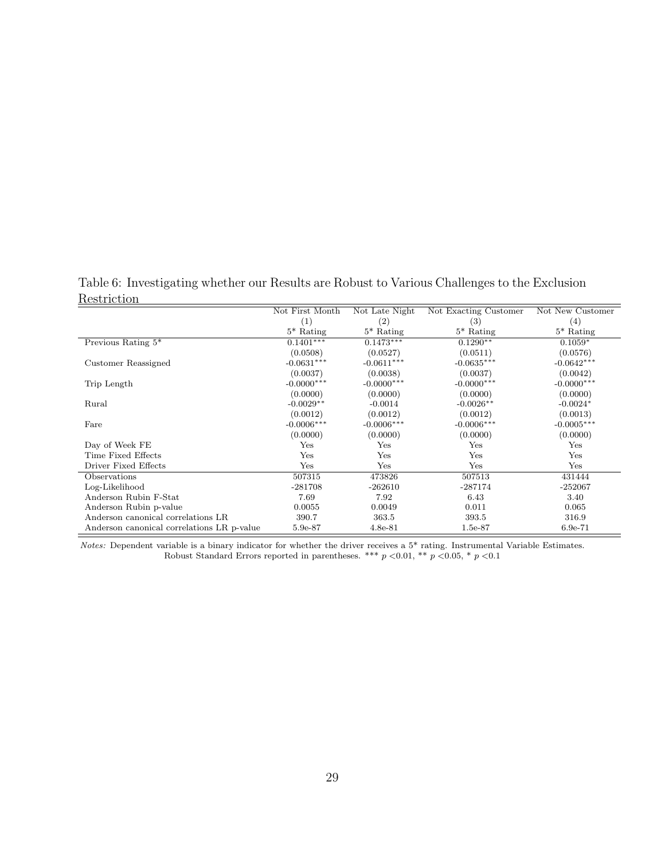Table 6: Investigating whether our Results are Robust to Various Challenges to the Exclusion **Restriction** 

|                                            | Not First Month | Not Late Night | Not Exacting Customer | Not New Customer |
|--------------------------------------------|-----------------|----------------|-----------------------|------------------|
|                                            | (1)             | (2)            | (3)                   | (4)              |
|                                            | $5^*$ Rating    | $5^*$ Rating   | $5*$ Rating           | $5*$ Rating      |
| Previous Rating $5^*$                      | $0.1401***$     | $0.1473***$    | $0.1290**$            | $0.1059*$        |
|                                            | (0.0508)        | (0.0527)       | (0.0511)              | (0.0576)         |
| Customer Reassigned                        | $-0.0631***$    | $-0.0611***$   | $-0.0635***$          | $-0.0642***$     |
|                                            | (0.0037)        | (0.0038)       | (0.0037)              | (0.0042)         |
| Trip Length                                | $-0.0000***$    | $-0.0000***$   | $-0.0000***$          | $-0.0000***$     |
|                                            | (0.0000)        | (0.0000)       | (0.0000)              | (0.0000)         |
| Rural                                      | $-0.0029**$     | $-0.0014$      | $-0.0026**$           | $-0.0024*$       |
|                                            | (0.0012)        | (0.0012)       | (0.0012)              | (0.0013)         |
| Fare                                       | $-0.0006***$    | $-0.0006***$   | $-0.0006***$          | $-0.0005***$     |
|                                            | (0.0000)        | (0.0000)       | (0.0000)              | (0.0000)         |
| Day of Week FE                             | Yes             | Yes            | Yes                   | Yes              |
| Time Fixed Effects                         | Yes             | Yes            | Yes                   | Yes              |
| Driver Fixed Effects                       | Yes             | Yes            | Yes                   | Yes              |
| Observations                               | 507315          | 473826         | 507513                | 431444           |
| Log-Likelihood                             | $-281708$       | $-262610$      | $-287174$             | $-252067$        |
| Anderson Rubin F-Stat                      | 7.69            | 7.92           | 6.43                  | 3.40             |
| Anderson Rubin p-value                     | 0.0055          | 0.0049         | 0.011                 | 0.065            |
| Anderson canonical correlations LR         | 390.7           | 363.5          | 393.5                 | 316.9            |
| Anderson canonical correlations LR p-value | 5.9e-87         | $4.8e-81$      | $1.5e-87$             | $6.9e-71$        |

Notes: Dependent variable is a binary indicator for whether the driver receives a 5\* rating. Instrumental Variable Estimates. Robust Standard Errors reported in parentheses. \*\*\*  $p < 0.01$ , \*\*  $p < 0.05$ , \*  $p < 0.1$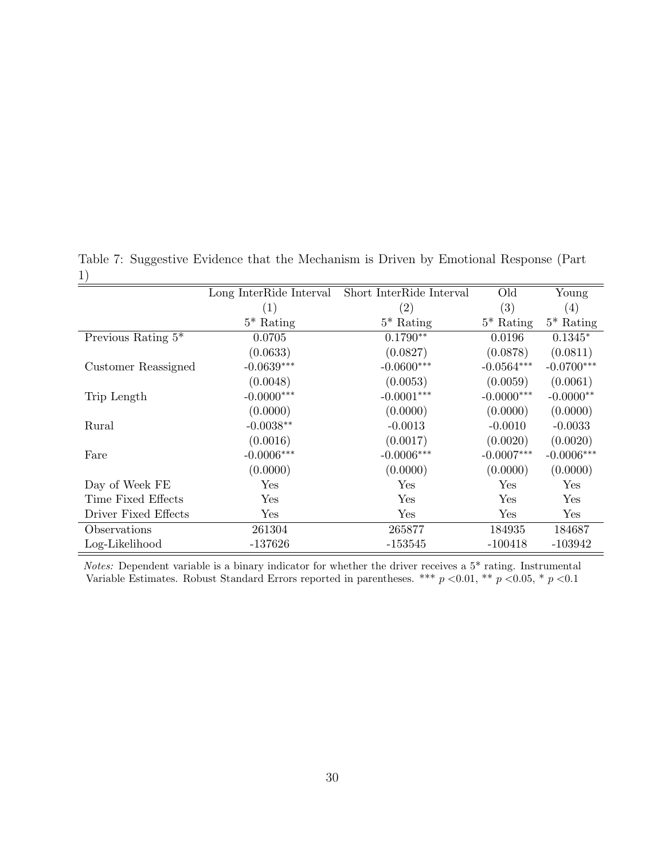|                       | Long InterRide Interval | Short InterRide Interval | Old          | Young                |
|-----------------------|-------------------------|--------------------------|--------------|----------------------|
|                       | (1)                     | $\left( 2\right)$        | (3)          | (4)                  |
|                       | $5^*$ Rating            | $5^*$ Rating             | $5^*$ Rating | $5^*$ Rating         |
| Previous Rating $5^*$ | 0.0705                  | $0.1790**$               | 0.0196       | $0.1345*$            |
|                       | (0.0633)                | (0.0827)                 | (0.0878)     | (0.0811)             |
| Customer Reassigned   | $-0.0639***$            | $-0.0600***$             | $-0.0564***$ | $-0.0700***$         |
|                       | (0.0048)                | (0.0053)                 | (0.0059)     | (0.0061)             |
| Trip Length           | $-0.0000***$            | $-0.0001***$             | $-0.0000***$ | $-0.0000**$          |
|                       | (0.0000)                | (0.0000)                 | (0.0000)     | (0.0000)             |
| Rural                 | $-0.0038**$             | $-0.0013$                | $-0.0010$    | $-0.0033$            |
|                       | (0.0016)                | (0.0017)                 | (0.0020)     | (0.0020)             |
| Fare                  | $-0.0006***$            | $-0.0006***$             | $-0.0007***$ | $-0.0006***$         |
|                       | (0.0000)                | (0.0000)                 | (0.0000)     | (0.0000)             |
| Day of Week FE        | Yes                     | Yes                      | Yes          | Yes                  |
| Time Fixed Effects    | Yes                     | <b>Yes</b>               | Yes          | Yes                  |
| Driver Fixed Effects  | Yes                     | Yes                      | Yes          | $\operatorname{Yes}$ |
| Observations          | 261304                  | 265877                   | 184935       | 184687               |
| Log-Likelihood        | -137626                 | $-153545$                | $-100418$    | $-103942$            |

Table 7: Suggestive Evidence that the Mechanism is Driven by Emotional Response (Part 1)

Notes: Dependent variable is a binary indicator for whether the driver receives a 5\* rating. Instrumental Variable Estimates. Robust Standard Errors reported in parentheses. \*\*\*  $p < 0.01$ , \*\*  $p < 0.05$ , \*  $p < 0.1$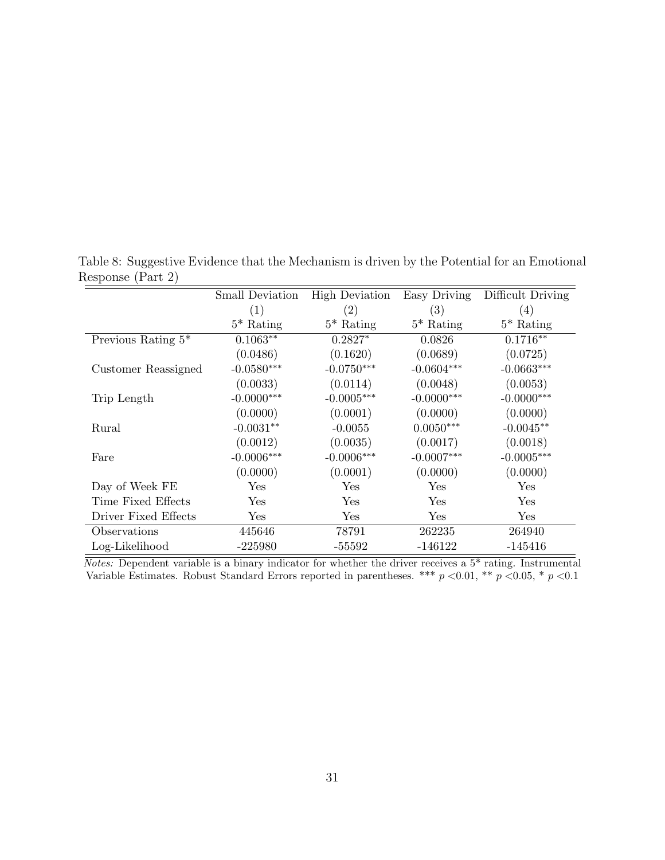|                       | <b>Small Deviation</b> | <b>High Deviation</b> | Easy Driving | Difficult Driving |
|-----------------------|------------------------|-----------------------|--------------|-------------------|
|                       | (1)                    | (2)                   | (3)          | (4)               |
|                       | $5^*$ Rating           | $5^*$ Rating          | $5^*$ Rating | $5^*$ Rating      |
| Previous Rating $5^*$ | $0.1063**$             | $0.2827*$             | 0.0826       | $0.1716**$        |
|                       | (0.0486)               | (0.1620)              | (0.0689)     | (0.0725)          |
| Customer Reassigned   | $-0.0580***$           | $-0.0750***$          | $-0.0604***$ | $-0.0663***$      |
|                       | (0.0033)               | (0.0114)              | (0.0048)     | (0.0053)          |
| Trip Length           | $-0.0000***$           | $-0.0005***$          | $-0.0000***$ | $-0.0000***$      |
|                       | (0.0000)               | (0.0001)              | (0.0000)     | (0.0000)          |
| Rural                 | $-0.0031**$            | $-0.0055$             | $0.0050***$  | $-0.0045**$       |
|                       | (0.0012)               | (0.0035)              | (0.0017)     | (0.0018)          |
| Fare                  | $-0.0006***$           | $-0.0006***$          | $-0.0007***$ | $-0.0005***$      |
|                       | (0.0000)               | (0.0001)              | (0.0000)     | (0.0000)          |
| Day of Week FE        | Yes                    | Yes                   | Yes          | Yes               |
| Time Fixed Effects    | Yes                    | Yes                   | Yes          | Yes               |
| Driver Fixed Effects  | $\operatorname{Yes}$   | Yes                   | Yes          | Yes               |
| Observations          | 445646                 | 78791                 | 262235       | 264940            |
| Log-Likelihood        | $-225980$              | -55592                | $-146122$    | $-145416$         |

Table 8: Suggestive Evidence that the Mechanism is driven by the Potential for an Emotional Response (Part 2)

 $\overline{Notes: Dependent variable is a binary indicator for whether the driver receives a 5<sup>*</sup> rating. Instrumental$ Variable Estimates. Robust Standard Errors reported in parentheses. \*\*\*  $p < 0.01$ , \*\*  $p < 0.05$ , \*  $p < 0.1$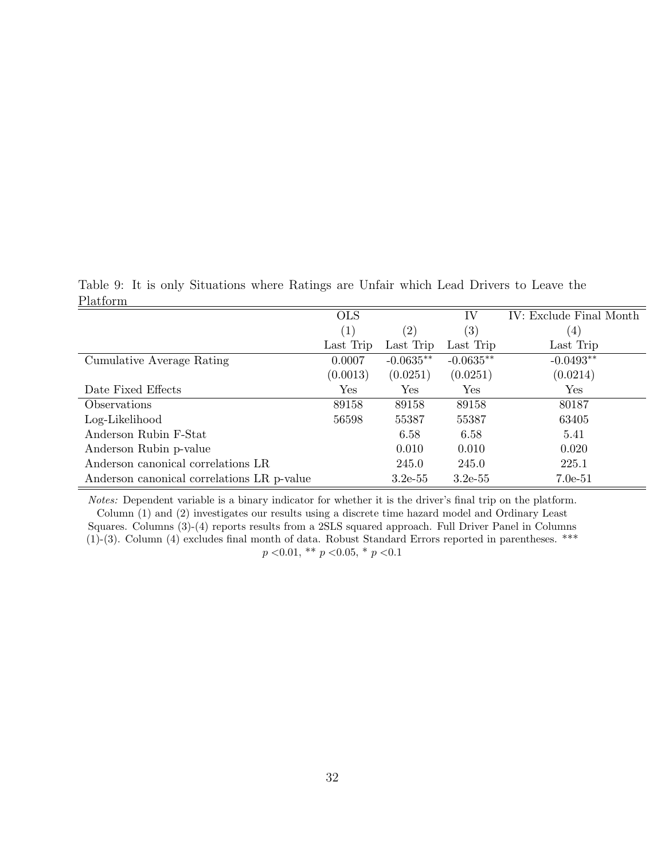Table 9: It is only Situations where Ratings are Unfair which Lead Drivers to Leave the Platform

|                                            | <b>OLS</b> |                   | IV                   | IV: Exclude Final Month |
|--------------------------------------------|------------|-------------------|----------------------|-------------------------|
|                                            | (1)        | $\left( 2\right)$ | (3)                  | $\left(4\right)$        |
|                                            | Last Trip  | Last Trip         | Last Trip            | Last Trip               |
| Cumulative Average Rating                  | 0.0007     | $-0.0635**$       | $-0.0635**$          | $-0.0493**$             |
|                                            | (0.0013)   | (0.0251)          | (0.0251)             | (0.0214)                |
| Date Fixed Effects                         | Yes        | Yes               | $\operatorname{Yes}$ | Yes                     |
| <i><b>Observations</b></i>                 | 89158      | 89158             | 89158                | 80187                   |
| Log-Likelihood                             | 56598      | 55387             | 55387                | 63405                   |
| Anderson Rubin F-Stat                      |            | 6.58              | 6.58                 | 5.41                    |
| Anderson Rubin p-value                     |            | 0.010             | 0.010                | 0.020                   |
| Anderson canonical correlations LR         |            | 245.0             | 245.0                | 225.1                   |
| Anderson canonical correlations LR p-value |            | $3.2e-55$         | $3.2e-55$            | $7.0e-51$               |

Notes: Dependent variable is a binary indicator for whether it is the driver's final trip on the platform. Column (1) and (2) investigates our results using a discrete time hazard model and Ordinary Least Squares. Columns (3)-(4) reports results from a 2SLS squared approach. Full Driver Panel in Columns (1)-(3). Column (4) excludes final month of data. Robust Standard Errors reported in parentheses. \*\*\*  $p < 0.01$ , \*\*  $p < 0.05$ , \*  $p < 0.1$